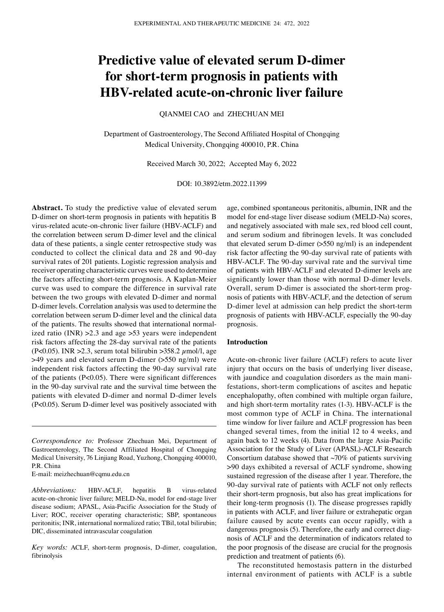# **Predictive value of elevated serum D‑dimer for short‑term prognosis in patients with HBV‑related acute‑on‑chronic liver failure**

QIANMEI CAO and ZHECHUAN MEI

Department of Gastroenterology, The Second Affiliated Hospital of Chongqing Medical University, Chongqing 400010, P.R. China

Received March 30, 2022; Accepted May 6, 2022

DOI: 10.3892/etm.2022.11399

**Abstract.** To study the predictive value of elevated serum D-dimer on short-term prognosis in patients with hepatitis B virus‑related acute‑on‑chronic liver failure (HBV‑ACLF) and the correlation between serum D‑dimer level and the clinical data of these patients, a single center retrospective study was conducted to collect the clinical data and 28 and 90‑day survival rates of 201 patients. Logistic regression analysis and receiver operating characteristic curves were used to determine the factors affecting short-term prognosis. A Kaplan-Meier curve was used to compare the difference in survival rate between the two groups with elevated D-dimer and normal D‑dimer levels. Correlation analysis was used to determine the correlation between serum D‑dimer level and the clinical data of the patients. The results showed that international normalized ratio (INR) >2.3 and age >53 years were independent risk factors affecting the 28‑day survival rate of the patients (P<0.05). INR > 2.3, serum total bilirubin > 358.2  $\mu$ mol/l, age >49 years and elevated serum D‑dimer (>550 ng/ml) were independent risk factors affecting the 90‑day survival rate of the patients (P<0.05). There were significant differences in the 90‑day survival rate and the survival time between the patients with elevated D‑dimer and normal D‑dimer levels (P<0.05). Serum D‑dimer level was positively associated with

E‑mail: meizhechuan@cqmu.edu.cn

*Abbreviations:* HBV‑ACLF, hepatitis B virus‑related acute-on-chronic liver failure; MELD-Na, model for end-stage liver disease sodium; APASL, Asia‑Pacific Association for the Study of Liver; ROC, receiver operating characteristic; SBP, spontaneous peritonitis; INR, international normalized ratio; TBil, total bilirubin; DIC, disseminated intravascular coagulation

*Key words:* ACLF, short‑term prognosis, D‑dimer, coagulation, fibrinolysis

age, combined spontaneous peritonitis, albumin, INR and the model for end‑stage liver disease sodium (MELD‑Na) scores, and negatively associated with male sex, red blood cell count, and serum sodium and fibrinogen levels. It was concluded that elevated serum D-dimer  $($ >550 ng/ml) is an independent risk factor affecting the 90‑day survival rate of patients with HBV‑ACLF. The 90‑day survival rate and the survival time of patients with HBV‑ACLF and elevated D‑dimer levels are significantly lower than those with normal D-dimer levels. Overall, serum D-dimer is associated the short-term prognosis of patients with HBV‑ACLF, and the detection of serum D-dimer level at admission can help predict the short-term prognosis of patients with HBV‑ACLF, especially the 90‑day prognosis.

## **Introduction**

Acute-on-chronic liver failure (ACLF) refers to acute liver injury that occurs on the basis of underlying liver disease, with jaundice and coagulation disorders as the main manifestations, short-term complications of ascites and hepatic encephalopathy, often combined with multiple organ failure, and high short-term mortality rates (1-3). HBV-ACLF is the most common type of ACLF in China. The international time window for liver failure and ACLF progression has been changed several times, from the initial 12 to 4 weeks, and again back to 12 weeks (4). Data from the large Asia‑Pacific Association for the Study of Liver (APASL)‑ACLF Research Consortium database showed that  $\sim$ 70% of patients surviving >90 days exhibited a reversal of ACLF syndrome, showing sustained regression of the disease after 1 year. Therefore, the 90‑day survival rate of patients with ACLF not only reflects their short-term prognosis, but also has great implications for their long‑term prognosis (1). The disease progresses rapidly in patients with ACLF, and liver failure or extrahepatic organ failure caused by acute events can occur rapidly, with a dangerous prognosis (5). Therefore, the early and correct diagnosis of ACLF and the determination of indicators related to the poor prognosis of the disease are crucial for the prognosis prediction and treatment of patients (6).

The reconstituted hemostasis pattern in the disturbed internal environment of patients with ACLF is a subtle

*Correspondence to:* Professor Zhechuan Mei, Department of Gastroenterology, The Second Affiliated Hospital of Chongqing Medical University, 76 Linjiang Road, Yuzhong, Chongqing 400010, P.R. China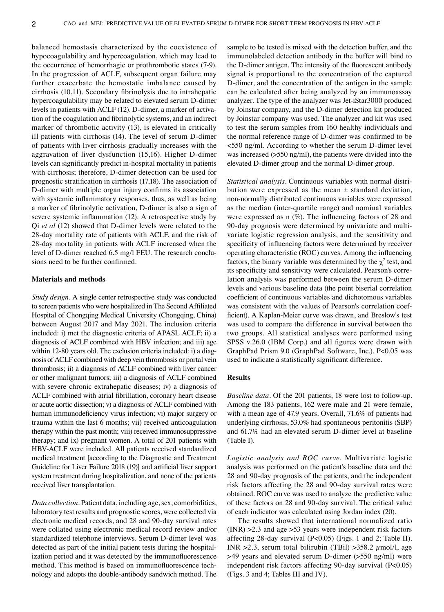balanced hemostasis characterized by the coexistence of hypocoagulability and hypercoagulation, which may lead to the occurrence of hemorrhagic or prothrombotic states (7‑9). In the progression of ACLF, subsequent organ failure may further exacerbate the hemostatic imbalance caused by cirrhosis (10,11). Secondary fibrinolysis due to intrahepatic hypercoagulability may be related to elevated serum D‑dimer levels in patients with ACLF (12). D-dimer, a marker of activation of the coagulation and fibrinolytic systems, and an indirect marker of thrombotic activity (13), is elevated in critically ill patients with cirrhosis (14). The level of serum D-dimer of patients with liver cirrhosis gradually increases with the aggravation of liver dysfunction (15,16). Higher D‑dimer levels can significantly predict in‑hospital mortality in patients with cirrhosis; therefore, D-dimer detection can be used for prognostic stratification in cirrhosis (17,18). The association of D‑dimer with multiple organ injury confirms its association with systemic inflammatory responses, thus, as well as being a marker of fibrinolytic activation, D‑dimer is also a sign of severe systemic inflammation (12). A retrospective study by Qi *et al* (12) showed that D‑dimer levels were related to the 28‑day mortality rate of patients with ACLF, and the risk of 28‑day mortality in patients with ACLF increased when the level of D-dimer reached 6.5 mg/l FEU. The research conclusions need to be further confirmed.

## **Materials and methods**

*Study design.* A single center retrospective study was conducted to screen patients who were hospitalized in The Second Affiliated Hospital of Chongqing Medical University (Chongqing, China) between August 2017 and May 2021. The inclusion criteria included: i) met the diagnostic criteria of APASL ACLF; ii) a diagnosis of ACLF combined with HBV infection; and iii) age within 12-80 years old. The exclusion criteria included: i) a diagnosis of ACLF combined with deep vein thrombosis or portal vein thrombosis; ii) a diagnosis of ACLF combined with liver cancer or other malignant tumors; iii) a diagnosis of ACLF combined with severe chronic extrahepatic diseases; iv) a diagnosis of ACLF combined with atrial fibrillation, coronary heart disease or acute aortic dissection; v) a diagnosis of ACLF combined with human immunodeficiency virus infection; vi) major surgery or trauma within the last 6 months; vii) received anticoagulation therapy within the past month; viii) received immunosuppressive therapy; and ix) pregnant women. A total of 201 patients with HBV‑ACLF were included. All patients received standardized medical treatment [according to the Diagnostic and Treatment Guideline for Liver Failure 2018 (19)] and artificial liver support system treatment during hospitalization, and none of the patients received liver transplantation.

*Data collection.* Patient data, including age, sex, comorbidities, laboratory test results and prognostic scores, were collected via electronic medical records, and 28 and 90‑day survival rates were collated using electronic medical record review and/or standardized telephone interviews. Serum D‑dimer level was detected as part of the initial patient tests during the hospitalization period and it was detected by the immunofluorescence method. This method is based on immunofluorescence technology and adopts the double‑antibody sandwich method. The sample to be tested is mixed with the detection buffer, and the immunolabeled detection antibody in the buffer will bind to the D-dimer antigen. The intensity of the fluorescent antibody signal is proportional to the concentration of the captured D‑dimer, and the concentration of the antigen in the sample can be calculated after being analyzed by an immunoassay analyzer. The type of the analyzer was Jet‑iStar3000 produced by Joinstar company, and the D‑dimer detection kit produced by Joinstar company was used. The analyzer and kit was used to test the serum samples from 160 healthy individuals and the normal reference range of D-dimer was confirmed to be <550 ng/ml. According to whether the serum D‑dimer level was increased (>550 ng/ml), the patients were divided into the elevated D‑dimer group and the normal D‑dimer group.

*Statistical analysis.* Continuous variables with normal distribution were expressed as the mean  $\pm$  standard deviation, non‑normally distributed continuous variables were expressed as the median (inter‑quartile range) and nominal variables were expressed as  $n$  (%). The influencing factors of 28 and 90-day prognosis were determined by univariate and multivariate logistic regression analysis, and the sensitivity and specificity of influencing factors were determined by receiver operating characteristic (ROC) curves. Among the influencing factors, the binary variable was determined by the  $\chi^2$  test, and its specificity and sensitivity were calculated. Pearson's correlation analysis was performed between the serum D‑dimer levels and various baseline data (the point biserial correlation coefficient of continuous variables and dichotomous variables was consistent with the values of Pearson's correlation coefficient). A Kaplan-Meier curve was drawn, and Breslow's test was used to compare the difference in survival between the two groups. All statistical analyses were performed using SPSS v.26.0 (IBM Corp.) and all figures were drawn with GraphPad Prism 9.0 (GraphPad Software, Inc.). P<0.05 was used to indicate a statistically significant difference.

## **Results**

*Baseline data.* Of the 201 patients, 18 were lost to follow-up. Among the 183 patients, 162 were male and 21 were female, with a mean age of 47.9 years. Overall, 71.6% of patients had underlying cirrhosis, 53.0% had spontaneous peritonitis (SBP) and 61.7% had an elevated serum D‑dimer level at baseline (Table I).

*Logistic analysis and ROC curve.* Multivariate logistic analysis was performed on the patient's baseline data and the 28 and 90‑day prognosis of the patients, and the independent risk factors affecting the 28 and 90‑day survival rates were obtained. ROC curve was used to analyze the predictive value of these factors on 28 and 90‑day survival. The critical value of each indicator was calculated using Jordan index (20).

The results showed that international normalized ratio (INR) >2.3 and age >53 years were independent risk factors affecting 28‑day survival (P<0.05) (Figs. 1 and 2; Table II). INR  $>2.3$ , serum total bilirubin (TBil)  $>358.2 \mu$ mol/l, age >49 years and elevated serum D‑dimer (>550 ng/ml) were independent risk factors affecting 90‑day survival (P<0.05) (Figs. 3 and 4; Tables III and IV).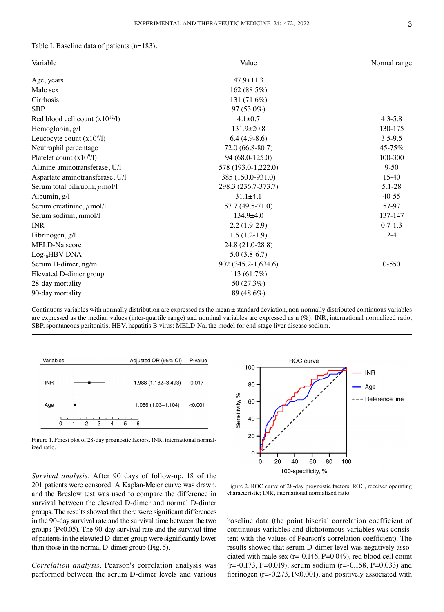| Table I. Baseline data of patients $(n=183)$ . |  |
|------------------------------------------------|--|
|------------------------------------------------|--|

| Variable                            | Value               | Normal range |  |
|-------------------------------------|---------------------|--------------|--|
| Age, years                          | $47.9 \pm 11.3$     |              |  |
| Male sex                            | 162(88.5%)          |              |  |
| Cirrhosis                           | 131 (71.6%)         |              |  |
| <b>SBP</b>                          | 97 (53.0%)          |              |  |
| Red blood cell count $(x10^{12}/l)$ | $4.1 \pm 0.7$       | $4.3 - 5.8$  |  |
| Hemoglobin, g/l                     | $131.9 \pm 20.8$    | 130-175      |  |
| Leucocyte count $(x10^9/1)$         | $6.4(4.9-8.6)$      | 3.5-9.5      |  |
| Neutrophil percentage               | 72.0 (66.8-80.7)    | 45-75%       |  |
| Platelet count $(x10^9/1)$          | 94 (68.0-125.0)     | 100-300      |  |
| Alanine aminotransferase, U/l       | 578 (193.0-1,222.0) | $9 - 50$     |  |
| Aspartate aminotransferase, U/l     | 385 (150.0-931.0)   | $15-40$      |  |
| Serum total bilirubin, $\mu$ mol/l  | 298.3 (236.7-373.7) | 5.1-28       |  |
| Albumin, g/l                        | $31.1 \pm 4.1$      | $40 - 55$    |  |
| Serum creatinine, $\mu$ mol/l       | 57.7 (49.5-71.0)    | 57-97        |  |
| Serum sodium, mmol/l                | $134.9 + 4.0$       | 137-147      |  |
| <b>INR</b>                          | $2.2(1.9-2.9)$      | $0.7 - 1.3$  |  |
| Fibrinogen, g/l                     | $1.5(1.2-1.9)$      | $2 - 4$      |  |
| MELD-Na score                       | 24.8 (21.0-28.8)    |              |  |
| $Log_{10}HBV-DNA$                   | $5.0(3.8-6.7)$      |              |  |
| Serum D-dimer, ng/ml                | 902 (345.2-1,634.6) | $0 - 550$    |  |
| Elevated D-dimer group              | $113(61.7\%)$       |              |  |
| 28-day mortality                    | 50 (27.3%)          |              |  |
| 90-day mortality                    | 89 (48.6%)          |              |  |
|                                     |                     |              |  |

Continuous variables with normally distribution are expressed as the mean ± standard deviation, non‑normally distributed continuous variables are expressed as the median values (inter‑quartile range) and nominal variables are expressed as n (%). INR, international normalized ratio; SBP, spontaneous peritonitis; HBV, hepatitis B virus; MELD-Na, the model for end-stage liver disease sodium.



Figure 1. Forest plot of 28-day prognostic factors. INR, international normalized ratio.



*Survival analysis.* After 90 days of follow‑up, 18 of the 201 patients were censored. A Kaplan‑Meier curve was drawn, and the Breslow test was used to compare the difference in survival between the elevated D-dimer and normal D-dimer groups. The results showed that there were significant differences in the 90‑day survival rate and the survival time between the two groups (P<0.05). The 90‑day survival rate and the survival time of patients in the elevated D‑dimer group were significantly lower than those in the normal D‑dimer group (Fig. 5).

*Correlation analysis.* Pearson's correlation analysis was performed between the serum D‑dimer levels and various

Figure 2. ROC curve of 28‑day prognostic factors. ROC, receiver operating characteristic; INR, international normalized ratio.

baseline data (the point biserial correlation coefficient of continuous variables and dichotomous variables was consistent with the values of Pearson's correlation coefficient). The results showed that serum D-dimer level was negatively associated with male sex  $(r=0.146, P=0.049)$ , red blood cell count  $(r=-0.173, P=0.019)$ , serum sodium  $(r=-0.158, P=0.033)$  and fibrinogen (r=‑0.273, P<0.001), and positively associated with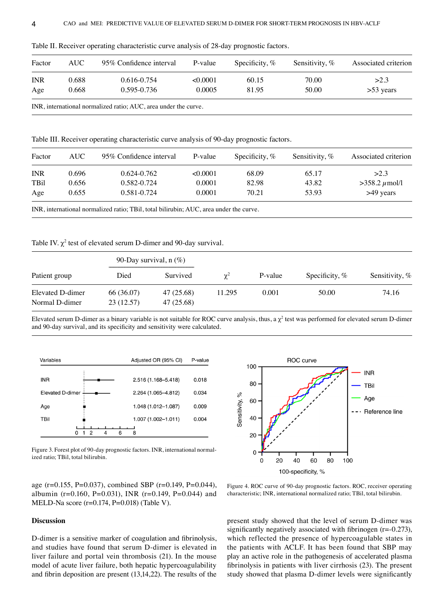| Factor     | AUC-  | 95% Confidence interval | P-value  | Specificity, $%$ | Sensitivity, $%$ | Associated criterion |
|------------|-------|-------------------------|----------|------------------|------------------|----------------------|
| <b>INR</b> | 0.688 | 0.616-0.754             | < 0.0001 | 60.15            | 70.00            | >2.3                 |
| Age        | 0.668 | 0.595-0.736             | 0.0005   | 81.95            | 50.00            | $>53$ years          |

Table II. Receiver operating characteristic curve analysis of 28-day prognostic factors.

Table III. Receiver operating characteristic curve analysis of 90‑day prognostic factors.

| Factor      | AUC-  | 95% Confidence interval                                                                | P-value  | Specificity, $%$ | Sensitivity, $%$ | Associated criterion |
|-------------|-------|----------------------------------------------------------------------------------------|----------|------------------|------------------|----------------------|
| <b>INR</b>  | 0.696 | $0.624 - 0.762$                                                                        | < 0.0001 | 68.09            | 65.17            | >2.3                 |
| <b>TBil</b> | 0.656 | 0.582-0.724                                                                            | 0.0001   | 82.98            | 43.82            | $>358.2 \mu$ mol/l   |
| Age         | 0.655 | 0.581-0.724                                                                            | 0.0001   | 70.21            | 53.93            | $>49$ years          |
|             |       | INR, international normalized ratio; TBil, total bilirubin; AUC, area under the curve. |          |                  |                  |                      |

Table IV.  $\chi^2$  test of elevated serum D-dimer and 90-day survival.

|                                    | 90-Day survival, $n$ (%) |                          |            |         |                  |                |
|------------------------------------|--------------------------|--------------------------|------------|---------|------------------|----------------|
| Patient group                      | Died                     | Survived                 | $\gamma^2$ | P-value | Specificity, $%$ | Sensitivity, % |
| Elevated D-dimer<br>Normal D-dimer | 66 (36.07)<br>23(12.57)  | 47 (25.68)<br>47 (25.68) | 11.295     | 0.001   | 50.00            | 74.16          |

Elevated serum D-dimer as a binary variable is not suitable for ROC curve analysis, thus, a  $\chi^2$  test was performed for elevated serum D-dimer and 90-day survival, and its specificity and sensitivity were calculated.



Figure 3. Forest plot of 90-day prognostic factors. INR, international normalized ratio; TBil, total bilirubin.

age (r=0.155, P=0.037), combined SBP (r=0.149, P=0.044), albumin (r=0.160, P=0.031), INR (r=0.149, P=0.044) and

MELD‑Na score (r=0.174, P=0.018) (Table V).

**Discussion**



Figure 4. ROC curve of 90‑day prognostic factors. ROC, receiver operating characteristic; INR, international normalized ratio; TBil, total bilirubin.

D‑dimer is a sensitive marker of coagulation and fibrinolysis, and studies have found that serum D‑dimer is elevated in liver failure and portal vein thrombosis (21). In the mouse model of acute liver failure, both hepatic hypercoagulability and fibrin deposition are present (13,14,22). The results of the present study showed that the level of serum D‑dimer was significantly negatively associated with fibrinogen  $(r=0.273)$ , which reflected the presence of hypercoagulable states in the patients with ACLF. It has been found that SBP may play an active role in the pathogenesis of accelerated plasma fibrinolysis in patients with liver cirrhosis (23). The present study showed that plasma D‑dimer levels were significantly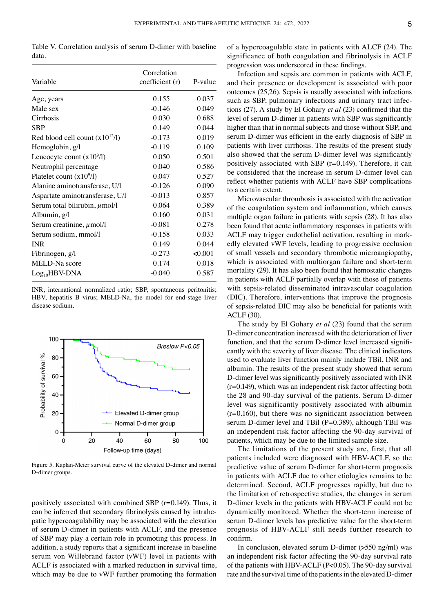Table V. Correlation analysis of serum D-dimer with baseline data.

| Variable                            | Correlation<br>coefficient (r) | P-value |
|-------------------------------------|--------------------------------|---------|
| Age, years                          | 0.155                          | 0.037   |
| Male sex                            | $-0.146$                       | 0.049   |
| Cirrhosis                           | 0.030                          | 0.688   |
| <b>SBP</b>                          | 0.149                          | 0.044   |
| Red blood cell count $(x10^{12}/1)$ | $-0.173$                       | 0.019   |
| Hemoglobin, g/l                     | $-0.119$                       | 0.109   |
| Leucocyte count $(x109/l)$          | 0.050                          | 0.501   |
| Neutrophil percentage               | 0.040                          | 0.586   |
| Platelet count $(x10^9/1)$          | 0.047                          | 0.527   |
| Alanine aminotransferase, U/l       | $-0.126$                       | 0.090   |
| Aspartate aminotransferase, U/l     | $-0.013$                       | 0.857   |
| Serum total bilirubin, $\mu$ mol/l  | 0.064                          | 0.389   |
| Albumin, g/l                        | 0.160                          | 0.031   |
| Serum creatinine, $\mu$ mol/l       | $-0.081$                       | 0.278   |
| Serum sodium, mmol/l                | $-0.158$                       | 0.033   |
| <b>INR</b>                          | 0.149                          | 0.044   |
| Fibrinogen, g/l                     | $-0.273$                       | < 0.001 |
| MELD-Na score                       | 0.174                          | 0.018   |
| $Log_{10}HBV-DNA$                   | $-0.040$                       | 0.587   |

INR, international normalized ratio; SBP, spontaneous peritonitis; HBV, hepatitis B virus; MELD-Na, the model for end-stage liver disease sodium.



Figure 5. Kaplan‑Meier survival curve of the elevated D‑dimer and normal D‑dimer groups.

positively associated with combined SBP (r=0.149). Thus, it can be inferred that secondary fibrinolysis caused by intrahepatic hypercoagulability may be associated with the elevation of serum D‑dimer in patients with ACLF, and the presence of SBP may play a certain role in promoting this process. In addition, a study reports that a significant increase in baseline serum von Willebrand factor (vWF) level in patients with ACLF is associated with a marked reduction in survival time, which may be due to vWF further promoting the formation of a hypercoagulable state in patients with ALCF (24). The significance of both coagulation and fibrinolysis in ACLF progression was underscored in these findings.

Infection and sepsis are common in patients with ACLF, and their presence or development is associated with poor outcomes (25,26). Sepsis is usually associated with infections such as SBP, pulmonary infections and urinary tract infections (27). A study by El Gohary *et al* (23) confirmed that the level of serum D-dimer in patients with SBP was significantly higher than that in normal subjects and those without SBP, and serum D-dimer was efficient in the early diagnosis of SBP in patients with liver cirrhosis. The results of the present study also showed that the serum D‑dimer level was significantly positively associated with SBP (r=0.149). Therefore, it can be considered that the increase in serum D-dimer level can reflect whether patients with ACLF have SBP complications to a certain extent.

Microvascular thrombosis is associated with the activation of the coagulation system and inflammation, which causes multiple organ failure in patients with sepsis (28). It has also been found that acute inflammatory responses in patients with ACLF may trigger endothelial activation, resulting in markedly elevated vWF levels, leading to progressive occlusion of small vessels and secondary thrombotic microangiopathy, which is associated with multiorgan failure and short-term mortality (29). It has also been found that hemostatic changes in patients with ACLF partially overlap with those of patients with sepsis‑related disseminated intravascular coagulation (DIC). Therefore, interventions that improve the prognosis of sepsis‑related DIC may also be beneficial for patients with ACLF (30).

The study by El Gohary *et al* (23) found that the serum D‑dimer concentration increased with the deterioration of liver function, and that the serum D-dimer level increased significantly with the severity of liver disease. The clinical indicators used to evaluate liver function mainly include TBil, INR and albumin. The results of the present study showed that serum D‑dimer level was significantly positively associated with INR (r=0.149), which was an independent risk factor affecting both the 28 and 90-day survival of the patients. Serum D-dimer level was significantly positively associated with albumin  $(r=0.160)$ , but there was no significant association between serum D-dimer level and TBil (P=0.389), although TBil was an independent risk factor affecting the 90‑day survival of patients, which may be due to the limited sample size.

The limitations of the present study are, first, that all patients included were diagnosed with HBV‑ACLF, so the predictive value of serum D‑dimer for short‑term prognosis in patients with ACLF due to other etiologies remains to be determined. Second, ACLF progresses rapidly, but due to the limitation of retrospective studies, the changes in serum D‑dimer levels in the patients with HBV‑ACLF could not be dynamically monitored. Whether the short-term increase of serum D-dimer levels has predictive value for the short-term prognosis of HBV‑ACLF still needs further research to confirm.

In conclusion, elevated serum D-dimer  $($ >550 ng/ml $)$  was an independent risk factor affecting the 90‑day survival rate of the patients with HBV‑ACLF (P<0.05). The 90‑day survival rate and the survival time of the patients in the elevated D‑dimer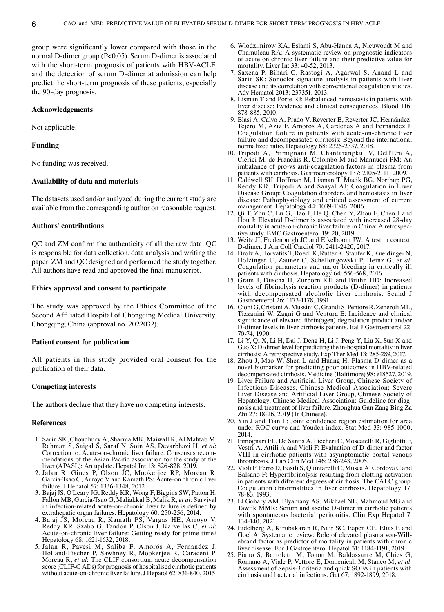group were significantly lower compared with those in the normal D‑dimer group (P<0.05). Serum D‑dimer is associated with the short-term prognosis of patients with HBV-ACLF, and the detection of serum D-dimer at admission can help predict the short‑term prognosis of these patients, especially the 90‑day prognosis.

## **Acknowledgements**

Not applicable.

## **Funding**

No funding was received.

## **Availability of data and materials**

The datasets used and/or analyzed during the current study are available from the corresponding author on reasonable request.

## **Authors' contributions**

QC and ZM confirm the authenticity of all the raw data. QC is responsible for data collection, data analysis and writing the paper. ZM and QC designed and performed the study together. All authors have read and approved the final manuscript.

## **Ethics approval and consent to participate**

The study was approved by the Ethics Committee of the Second Affiliated Hospital of Chongqing Medical University, Chongqing, China (approval no. 2022032).

### **Patient consent for publication**

All patients in this study provided oral consent for the publication of their data.

## **Competing interests**

The authors declare that they have no competing interests.

#### **References**

- 1. Sarin SK, Choudhury A, Sharma MK, Maiwall R, Al Mahtab M, Rahman S, Saigal S, Saraf N, Soin AS, Devarbhavi H, et al: Correction to: Acute-on-chronic liver failure: Consensus recom-<br>mendations of the Asian Pacific association for the study of the liver (APASL): An update. Hepatol Int 13: 826‑828, 2019.
- 2. Jalan R, Gines P, Olson JC, Mookerjee RP, Moreau R, Garcia-Tsao G, Arroyo V and Kamath PS: Acute-on chronic liver failure. J Hepatol 57: 1336‑1348, 2012.
- 3. Bajaj JS, O'Leary JG, Reddy KR, Wong F, Biggins SW, Patton H, Fallon MB, Garcia‑Tsao G, Maliakkal B, Malik R, *et al*: Survival in infection-related acute-on-chronic liver failure is defined by extrahepatic organ failures. Hepatology 60: 250‑256, 2014.
- 4. Bajaj JS, Moreau R, Kamath PS, Vargas HE, Arroyo V, Reddy KR, Szabo G, Tandon P, Olson J, Karvellas C, *et al*: Acute‑on‑chronic liver failure: Getting ready for prime time? Hepatology 68: 1621-1632, 2018.
- 5. Jalan R, Pavesi M, Saliba F, Amorós A, Fernandez J, Holland‑Fischer P, Sawhney R, Mookerjee R, Caraceni P, Moreau R, *et al*: The CLIF consortium acute decompensation score (CLIF-C ADs) for prognosis of hospitalised cirrhotic patients without acute-on-chronic liver failure. J Hepatol 62: 831-840, 2015.
- 6. Wlodzimirow KA, Eslami S, Abu‑Hanna A, Nieuwoudt M and Chamuleau RA: A systematic review on prognostic indicators of acute on chronic liver failure and their predictive value for mortality. Liver Int 33: 40‑52, 2013.
- 7. Saxena P, Bihari C, Rastogi A, Agarwal S, Anand L and Sarin SK: Sonoclot signature analysis in patients with liver disease and its correlation with conventional coagulation studies. Adv Hematol 2013: 237351, 2013.
- 8. Lisman T and Porte RJ: Rebalanced hemostasis in patients with liver disease: Evidence and clinical consequences. Blood 116: 878‑885, 2010.
- 9. Blasi A, Calvo A, Prado V, Reverter E, Reverter JC, Hernández-Tejero M, Aziz F, Amoros A, Cardenas A and Fernández J: Coagulation failure in patients with acute‑on‑chronic liver failure and decompensated cirrhosis: Beyond the international normalized ratio. Hepatology 68: 2325‑2337, 2018.
- 10. Tripodi A, Primignani M, Chantarangkul V, Dell'Era A, Clerici M, de Franchis R, Colombo M and Mannucci PM: An imbalance of pro‑vs anti‑coagulation factors in plasma from patients with cirrhosis. Gastroenterology 137: 2105‑2111, 2009.
- 11. Caldwell SH, Hoffman M, Lisman T, Macik BG, Northup PG, Reddy KR, Tripodi A and Sanyal AJ; Coagulation in Liver Disease Group: Coagulation disorders and hemostasis in liver disease: Pathophysiology and critical assessment of current management. Hepatology 44: 1039-1046, 2006.
- 12. Qi T, Zhu C, Lu G, Hao J, He Q, Chen Y, Zhou F, Chen J and Hou J: Elevated D-dimer is associated with increased 28-day mortality in acute-on-chronic liver failure in China: A retrospective study. BMC Gastroenterol 19: 20, 2019.
- 13. Weitz JI, Fredenburgh JC and Eikelboom JW: A test in context: D‑dimer. J Am Coll Cardiol 70: 2411‑2420, 2017.
- 14. Drolz A, Horvatits T, Roedl K, Rutter K, Staufer K, Kneidinger N, Holzinger U, Zauner C, Schellongowski P, Heinz G, *et al*: Coagulation parameters and major bleeding in critically ill patients with cirrhosis. Hepatology 64: 556‑568, 2016.
- 15. Gram J, Duscha H, Zurborn KH and Bruhn HD: Increased levels of fibrinolysis reaction products (D‑dimer) in patients with decompensated alcoholic liver cirrhosis. Scand J Gastroenterol 26: 1173‑1178, 1991.
- 16. Cioni G, Cristani A, MussiniC, Grandi S, PentoreR, Zeneroli ML, Tizzanini W, Zagni G and Ventura E: Incidence and clinical significance of elevated fibrin(ogen) degradation product and/or D‑dimer levels in liver cirrhosis patients. Ital J Gastroenterol 22: 70‑74, 1990.
- 17. Li Y, Qi X, Li H, Dai J, Deng H, Li J, Peng Y, Liu X, Sun X and Guo X: D-dimer level for predicting the in-hospital mortality in liver cirrhosis: A retrospective study. Exp Ther Med 13: 285‑289, 2017.
- 18. Zhou J, Mao W, Shen L and Huang H: Plasma D‑dimer as a novel biomarker for predicting poor outcomes in HBV-related decompensated cirrhosis. Medicine (Baltimore) 98: e18527, 2019.
- 19. Liver Failure and Artificial Liver Group, Chinese Society of Infectious Diseases, Chinese Medical Association; Severe Liver Disease and Artificial Liver Group, Chinese Society of Hepatology, Chinese Medical Association: Guideline for diagnosis and treatment of liver failure. Zhonghua Gan Zang Bing Za Zhi 27: 18‑26, 2019 (In Chinese).
- 20. Yin J and Tian L: Joint confidence region estimation for area under ROC curve and Youden index. Stat Med 33: 985‑1000, 2014.
- 21. Fimognari FL, De Santis A, Piccheri C, Moscatelli R, Gigliotti F, Vestri A, Attili A and Violi F: Evaluation of D‑dimer and factor VIII in cirrhotic patients with asymptomatic portal venous thrombosis. J Lab Clin Med 146: 238‑243, 2005.
- 22. Violi F, Ferro D, Basili S, Quintarelli C, Musca A, Cordova C and Balsano F: Hyperfibrinolysis resulting from clotting activation in patients with different degrees of cirrhosis. The CALC group. Coagulation abnormalities in liver cirrhosis. Hepatology 17: 78‑83, 1993.
- 23. El Gohary AM, Elyamany AS, Mikhael NL, Mahmoud MG and Tawfik MMR: Serum and ascitic D‑dimer in cirrhotic patients with spontaneous bacterial peritonitis. Clin Exp Hepatol 7: 134‑140, 2021.
- 24. Eidelberg A, Kirubakaran R, Nair SC, Eapen CE, Elias E and Goel A: Systematic review: Role of elevated plasma von-Willebrand factor as predictor of mortality in patients with chronic liver disease. Eur J Gastroenterol Hepatol 31: 1184‑1191, 2019.
- 25. Piano S, Bartoletti M, Tonon M, Baldassarre M, Chies G, Romano A, Viale P, Vettore E, Domenicali M, Stanco M, et al: Assessment of Sepsis-3 criteria and quick SOFA in patients with cirrhosis and bacterial infections. Gut 67: 1892‑1899, 2018.